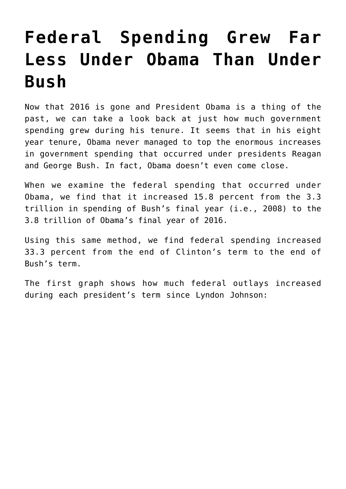## **[Federal Spending Grew Far](https://intellectualtakeout.org/2017/02/federal-spending-grew-far-less-under-obama-than-under-bush/) [Less Under Obama Than Under](https://intellectualtakeout.org/2017/02/federal-spending-grew-far-less-under-obama-than-under-bush/) [Bush](https://intellectualtakeout.org/2017/02/federal-spending-grew-far-less-under-obama-than-under-bush/)**

Now that 2016 is gone and President Obama is a thing of the past, we can take a look back at just how much government spending grew during his tenure. It seems that in his eight year tenure, Obama never managed to top the enormous increases in government spending that occurred under presidents Reagan and George Bush. In fact, Obama doesn't even come close.

When we examine the federal spending that occurred under Obama, we find that it increased 15.8 percent from the 3.3 trillion in spending of Bush's final year (i.e., 2008) to the 3.8 trillion of Obama's final year of 2016.

Using this same method, we find federal spending increased 33.3 percent from the end of Clinton's term to the end of Bush's term.

The first graph shows how much federal outlays increased during each president's term since Lyndon Johnson: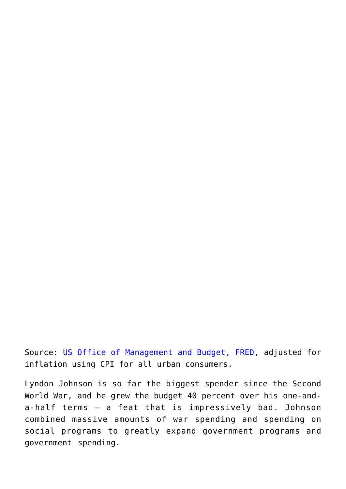Source: [US Office of Management and Budget, FRED,](https://fred.stlouisfed.org/series/FYONET) adjusted for inflation using CPI for all urban consumers.

Lyndon Johnson is so far the biggest spender since the Second World War, and he grew the budget 40 percent over his one-anda-half terms — a feat that is impressively bad. Johnson combined massive amounts of war spending and spending on social programs to greatly expand government programs and government spending.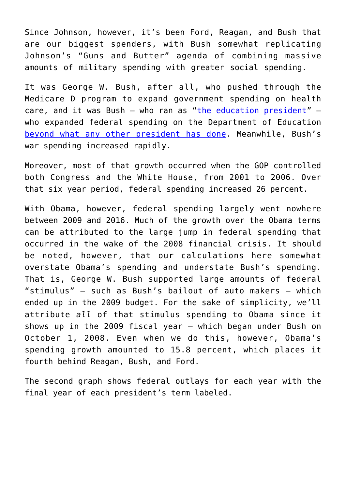Since Johnson, however, it's been Ford, Reagan, and Bush that are our biggest spenders, with Bush somewhat replicating Johnson's "Guns and Butter" agenda of combining massive amounts of military spending with greater social spending.

It was George W. Bush, after all, who pushed through the Medicare D program to expand government spending on health care, and it was Bush  $-$  who ran as "[the education president](http://www.oxfordscholarship.com/view/10.1093/acprof:oso/9780195393767.001.0001/acprof-9780195393767-chapter-10)"  $$ who expanded federal spending on the Department of Education [beyond what any other president has done](https://mises.org/blog/will-republicans-end-department-education-not-likely). Meanwhile, Bush's war spending increased rapidly.

Moreover, most of that growth occurred when the GOP controlled both Congress and the White House, from 2001 to 2006. Over that six year period, federal spending increased 26 percent.

With Obama, however, federal spending largely went nowhere between 2009 and 2016. Much of the growth over the Obama terms can be attributed to the large jump in federal spending that occurred in the wake of the 2008 financial crisis. It should be noted, however, that our calculations here somewhat overstate Obama's spending and understate Bush's spending. That is, George W. Bush supported large amounts of federal "stimulus" — such as Bush's bailout of auto makers — which ended up in the 2009 budget. For the sake of simplicity, we'll attribute *all* of that stimulus spending to Obama since it shows up in the 2009 fiscal year — which began under Bush on October 1, 2008. Even when we do this, however, Obama's spending growth amounted to 15.8 percent, which places it fourth behind Reagan, Bush, and Ford.

The second graph shows federal outlays for each year with the final year of each president's term labeled.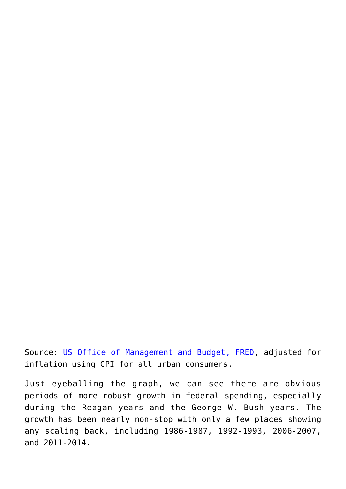Source: [US Office of Management and Budget, FRED,](https://fred.stlouisfed.org/series/FYONET) adjusted for inflation using CPI for all urban consumers.

Just eyeballing the graph, we can see there are obvious periods of more robust growth in federal spending, especially during the Reagan years and the George W. Bush years. The growth has been nearly non-stop with only a few places showing any scaling back, including 1986-1987, 1992-1993, 2006-2007, and 2011-2014.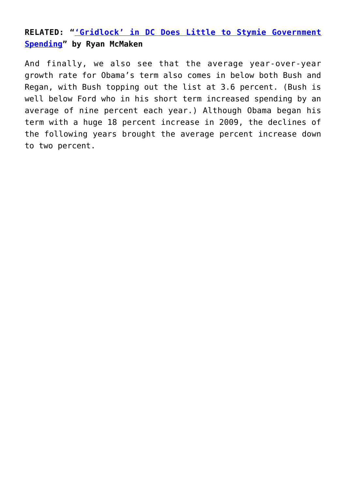## **RELATED: "['Gridlock' in DC Does Little to Stymie Government](https://mises.org/blog/gridlock-dc-does-little-stymie-government-spending) [Spending"](https://mises.org/blog/gridlock-dc-does-little-stymie-government-spending) by Ryan McMaken**

And finally, we also see that the average year-over-year growth rate for Obama's term also comes in below both Bush and Regan, with Bush topping out the list at 3.6 percent. (Bush is well below Ford who in his short term increased spending by an average of nine percent each year.) Although Obama began his term with a huge 18 percent increase in 2009, the declines of the following years brought the average percent increase down to two percent.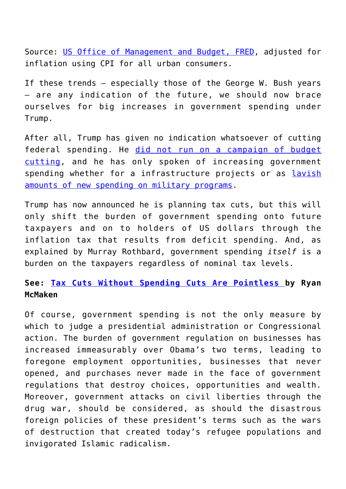Source: [US Office of Management and Budget, FRED,](https://fred.stlouisfed.org/series/FYONET) adjusted for inflation using CPI for all urban consumers.

If these trends — especially those of the George W. Bush years — are any indication of the future, we should now brace ourselves for big increases in government spending under Trump.

After all, Trump has given no indication whatsoever of cutting federal spending. He [did not run on a campaign of budget](https://mises.org/blog/roll-call-deficit-debate-has-disappeared) [cutting](https://mises.org/blog/roll-call-deficit-debate-has-disappeared), and he has only spoken of increasing government spending whether for a infrastructure projects or as [lavish](https://mises.org/blog/trump-readies-new-pentagon-spending-binge) [amounts of new spending on military programs](https://mises.org/blog/trump-readies-new-pentagon-spending-binge).

Trump has now announced he is planning tax cuts, but this will only shift the burden of government spending onto future taxpayers and on to holders of US dollars through the inflation tax that results from deficit spending. And, as explained by Murray Rothbard, government spending *itself* is a burden on the taxpayers regardless of nominal tax levels.

## **See: [Tax Cuts Without Spending Cuts Are Pointless b](https://mises.org/blog/tax-cuts-without-spending-cuts-are-pointless)y Ryan McMaken**

Of course, government spending is not the only measure by which to judge a presidential administration or Congressional action. The burden of government regulation on businesses has increased immeasurably over Obama's two terms, leading to foregone employment opportunities, businesses that never opened, and purchases never made in the face of government regulations that destroy choices, opportunities and wealth. Moreover, government attacks on civil liberties through the drug war, should be considered, as should the disastrous foreign policies of these president's terms such as the wars of destruction that created today's refugee populations and invigorated Islamic radicalism.